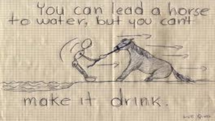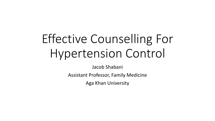# Effective Counselling For Hypertension Control

Jacob Shabani

Assistant Professor, Family Medicine

Aga Khan University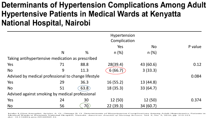### Determinants of Hypertension Complications Among Adult Hypertensive Patients in Medical Wards at Kenyatta **National Hospital, Nairobi**

|                                                     | Complication |       |          |           |         |  |
|-----------------------------------------------------|--------------|-------|----------|-----------|---------|--|
|                                                     |              |       | Yes      | <b>No</b> | P value |  |
|                                                     | N            | $\%$  | $n (\%)$ | n(%)      |         |  |
| Taking antihypertensive medication as prescribed    |              |       |          |           |         |  |
| Yes                                                 | 71           | 88.8  | 28(39.4) | 43 (60.6) | 0.12    |  |
| <b>No</b>                                           | 9            | 11.3  | 6(66.7)  | 3(33.3)   |         |  |
| Advised by medical professional to change lifestyle | 0.084        |       |          |           |         |  |
| Yes                                                 | 29           | 36.3  | 16(55.2) | 13 (44.8) |         |  |
| <b>No</b>                                           | 51           | 63.8) | 18(35.3) | 33(64.7)  |         |  |
| Advised against smoking by medical professional     |              |       |          |           |         |  |
| Yes                                                 | 24           | 30    | 12(50)   | 12 (50)   | 0.374   |  |
| <b>No</b>                                           | 56           | 70)   | 22(39.3) | 34 (60.7) |         |  |

Isiaho Lillian Amugitsi, Ayieko A. O., Omuga B. O. Determinants of Hypertension Complications Among Adult Hypertensive Patients in Medical Wards at Kenyatta National Hospital, Nairobi. American Journal of Nursing Science. Vol. 5, No. 5, 2016, pp. 213-221. doi: 10.11648/j.ajns.20160505.16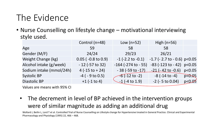# The Evidence

• Nurse Counselling on lifestyle change – motivational interviewing style used.

|                          | Control (n=48)             | Low $(n=52)$               | High $(n=56)$                  |          |
|--------------------------|----------------------------|----------------------------|--------------------------------|----------|
| Age                      | 59                         | 58                         | 58                             |          |
| Gender (M/F)             | 24/24                      | 29/23                      | 26/21                          |          |
| Weight Change (kg)       | $0.05$ ( $-0.8$ to $0.9$ ) | $-1$ (-2.2 to $-0.1$ )     | $-1.7$ (- 2.7 to - 0.6) p<0.05 |          |
| Alcohol intake (g/week)  | $-12$ (-57 to 32)          | $-164$ ( $-274$ to $-55$ ) | $-83$ (-123 to - 42) p<0.05    |          |
| Sodium intake (mmol/24h) | $4(-15 \text{ to } + 24)$  | $-38$ (-59 to -17)         | $-21$ (- 42 to -0.6)           | p<0.05   |
| <b>Systolic BP</b>       | $-4$ ( $-9$ to 0.5)        | $-6(-12 \text{ to } -2)$   | $-8$ ( $-14$ to $-4$ )         | p < 0.05 |
| <b>Diastolic BP</b>      | $+1$ (-1 to 4)             | $-1$ (-4 to 1.9)           | $-2$ ( $-5$ to 0.04)           | p<0.05   |
| $\frac{1}{2}$            |                            |                            |                                |          |

Values are means with 95% CI

• The decrement in level of BP achieved in the intervention groups were of similar magnitude as adding an additional drug

Wollard J, Beilin L, Lord T et al. Controlled Trial of Nurse Counselling on Lifestyle change for Hypertensive treated in General Practice. Clinical and Experimental Pharmacology and Physiology (1995) 22, 466 – 468.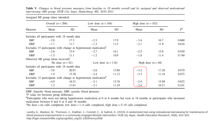Table V. Changes in blood pressure measures from baseline to 18 months overall and by assigned and observed motivational interviewing (MI) group: HUB City Steps, Hattiesburg, MS, 2010–2011

|         | $1.2002$ and $1.22$ group (above michaela)      |                  |                                                                              |       |                       |                    |             |
|---------|-------------------------------------------------|------------------|------------------------------------------------------------------------------|-------|-----------------------|--------------------|-------------|
| Measure | Overall $(n=206)$                               |                  | Low dose $(n=104)$                                                           |       | High dose $(n = 102)$ |                    |             |
|         | Mean                                            | SD               | Mean                                                                         | SD    | Mean                  | SD                 | $P^{\rm a}$ |
|         | Includes all participants with 18 month data    |                  |                                                                              |       |                       |                    |             |
| SBP     | $-2.8$                                          | 17.3             | $-2.3$                                                                       | 17.9  | $-3.4$                | 16.7               | 0.660       |
| DBP     | $-1.7$                                          | 11.7             | $-1.3$                                                                       | 11.5  | $-2.1$                | 11.9               | 0.616       |
|         |                                                 |                  | Excludes 15 participants with change in hypertension medication <sup>b</sup> |       |                       |                    |             |
| SBP     | $-2.6$                                          | 15.9             | $-2.7$                                                                       | 16.1  | $-2.5$                | 15.8               | 0.920       |
| DBP     | $-1.5$                                          | 11.1             | $-1.2$                                                                       | 10.9  | $-1.8$                | 11.4               | 0.740       |
|         | Observed MI group (dose received) $\textdegree$ |                  |                                                                              |       |                       |                    |             |
|         |                                                 | No dose $(n=42)$ | Low dose $(n=116)$                                                           |       |                       | High dose $(n=48)$ |             |
|         | Includes all participants with 18 month data    |                  |                                                                              |       |                       |                    |             |
| SBP     | $-3.0$                                          | 20.97            | $-2.6$                                                                       | 15.98 | $-3.2$                | 17.20              | 0.979       |
| DBP     | 1.9                                             | 13.30            | $-2.4$                                                                       | 11.12 | $-3.3$                | 11.16              | 0.072       |
|         |                                                 |                  | Excludes 15 participants with change in hypertension medication <sup>b</sup> |       |                       |                    |             |
| SBP     | $-4.0$                                          | 16.51            | $-2.1$                                                                       | 15.78 | $-2.4$                | 15.98              | 0.822       |
| DBP     | 1.2                                             | 11.61            | $-2.1$                                                                       | 11.24 | $-2.4$                | 10.21              | 0.241       |

Assigned MI group (dose intended)

DBP, diastolic blood pressure; SBP, systolic blood pressure.

 ${}^{\rm a}P$  value for between group difference.

<sup>b</sup>Participants who were not taking hypertension medication at 0 or 6 months but were at 18 months or participants who increased medication between 0 and 6 or 6 and 18 months.

 $\degree$ No dose = no calls completed; low dose = 1–4 calls completed; high dose = 5–10 calls completed.

Landry, A., Madson, M., Thomson, J., Zoellner, J., Connell, C., & Yadrick, K. (2015). A randomized trial using motivational interviewing for maintenance of blood pressure improvements in a community-engaged lifestyle intervention: HUB city steps. Health Education Research, 30(6), 910-922. http://login.research4life.org/tacsgr0doi\_org/10.1093/her/cyv058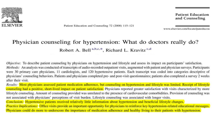

Patient Education and Counseling 72 (2008) 115-121

**Patient Education** and Counseling

www.elsevier.com/locate/pateducou

#### Physician counseling for hypertension: What do doctors really do? Robert A. Bell<sup>a,b,c,\*</sup>, Richard L. Kravitz<sup>c,d</sup>

Objective: To describe patient counseling by physicians on hypertension and lifestyle and assess its impact on participants' satisfaction. Methods: An analysis was conducted of transcripts of audio-recorded outpatient visits, augmented with patient and physician surveys. Participants were 30 primary care physicians, 11 cardiologists, and 120 hypertensive patients. Each transcript was coded into categories descriptive of physicians' counseling behaviors. Patients and physicians completed pre- and post-visit questionnaires; patients also completed a survey 2 weeks after their visit.

Results: Most physicians assessed patient medication adherence, but counseling on hypertension and lifestyle was limited. Receipt of lifestyle counseling had a positive, short-lived impact on patient satisfaction. Physicians reported greater satisfaction with visits characterized by more lifestyle counseling. Amount of counseling provided was unrelated to the presence of cardiovascular comorbidities. Provision of counseling was not associated with physicians' perceptions of visit burden. Lifestyle counseling was associated with longer visits.

Conclusion: Hypertensive patients received relatively little information about hypertension and beneficial lifestyle changes.

*Practice Implications:* Office visits provide an important opportunity for physicians to reinforce key hypertension-related educational messages. Physicians could do more to underscore the importance of medication adherence and healthy living to their patients with hypertension.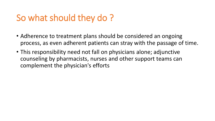# So what should they do ?

- Adherence to treatment plans should be considered an ongoing process, as even adherent patients can stray with the passage of time.
- This responsibility need not fall on physicians alone; adjunctive counseling by pharmacists, nurses and other support teams can complement the physician's efforts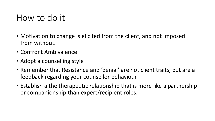## How to do it

- Motivation to change is elicited from the client, and not imposed from without.
- Confront Ambivalence
- Adopt a counselling style .
- Remember that Resistance and 'denial' are not client traits, but are a feedback regarding your counsellor behaviour.
- Establish a the therapeutic relationship that is more like a partnership or companionship than expert/recipient roles.